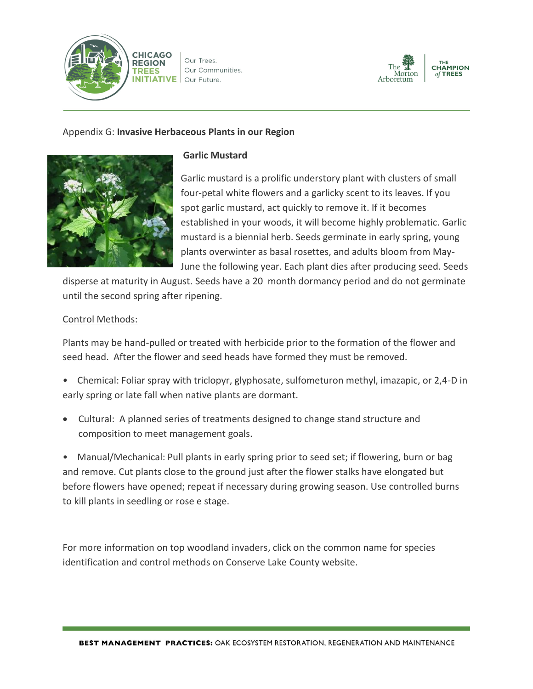

Our Trees. Our Communities. **INITIATIVE** Our Future.



## Appendix G: **Invasive Herbaceous Plants in our Region**



## **Garlic Mustard**

Garlic mustard is a prolific understory plant with clusters of small four-petal white flowers and a garlicky scent to its leaves. If you spot garlic mustard, act quickly to remove it. If it becomes established in your woods, it will become highly problematic. Garlic mustard is a biennial herb. Seeds germinate in early spring, young plants overwinter as basal rosettes, and adults bloom from May-June the following year. Each plant dies after producing seed. Seeds

disperse at maturity in August. Seeds have a 20 month dormancy period and do not germinate until the second spring after ripening.

## Control Methods:

Plants may be hand-pulled or treated with herbicide prior to the formation of the flower and seed head. After the flower and seed heads have formed they must be removed.

- Chemical: Foliar spray with triclopyr, glyphosate, sulfometuron methyl, imazapic, or 2,4-D in early spring or late fall when native plants are dormant.
- Cultural: A planned series of treatments designed to change stand structure and composition to meet management goals.

• Manual/Mechanical: Pull plants in early spring prior to seed set; if flowering, burn or bag and remove. Cut plants close to the ground just after the flower stalks have elongated but before flowers have opened; repeat if necessary during growing season. Use controlled burns to kill plants in seedling or rose e stage.

For more information on top woodland invaders, click on the common name for species identification and control methods on Conserve Lake County website.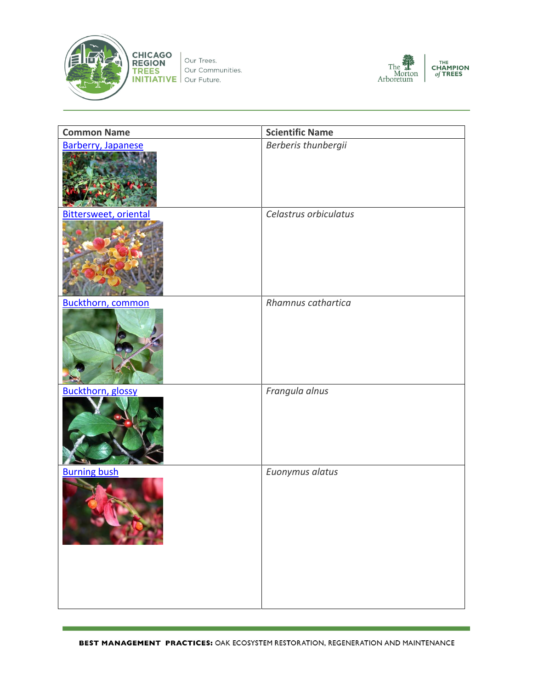



| <b>Common Name</b>       | <b>Scientific Name</b> |
|--------------------------|------------------------|
| Barberry, Japanese       | Berberis thunbergii    |
| Bittersweet, oriental    | Celastrus orbiculatus  |
| <b>Buckthorn, common</b> | Rhamnus cathartica     |
| <b>Buckthorn, glossy</b> | Frangula alnus         |
| <b>Burning bush</b>      | Euonymus alatus        |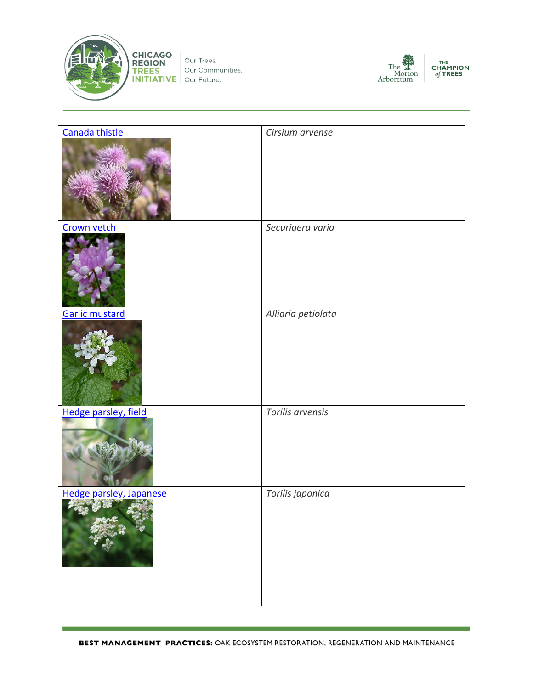

**CHICAGO**<br> **REGION**<br> **TREES** Our Commu<br> **INITIATIVE** Our Future. Our Communities.



| Canada thistle          | Cirsium arvense    |
|-------------------------|--------------------|
|                         |                    |
| Crown vetch             | Securigera varia   |
|                         |                    |
| Garlic mustard          | Alliaria petiolata |
|                         |                    |
| Hedge parsley, field    | Torilis arvensis   |
|                         |                    |
| Hedge parsley, Japanese | Torilis japonica   |
|                         |                    |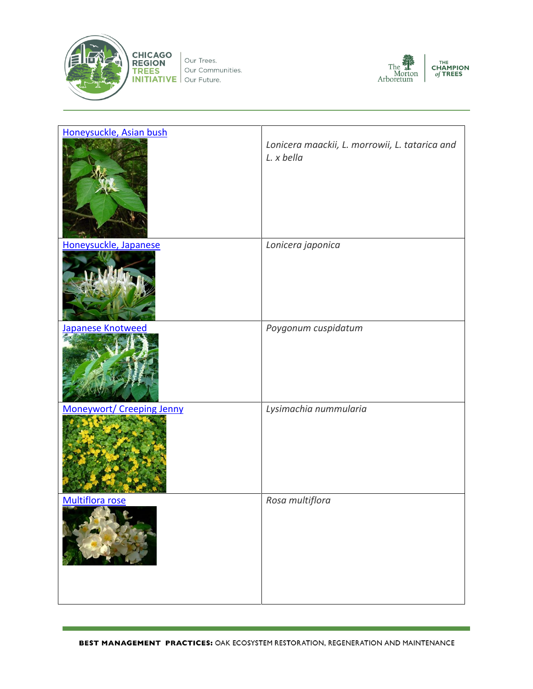

**CHICAGO**<br> **REGION**<br> **TREES** Our Commu<br> **INITIATIVE** Our Future. Our Communities.



| Honeysuckle, Asian bush          | Lonicera maackii, L. morrowii, L. tatarica and<br>L. x bella |
|----------------------------------|--------------------------------------------------------------|
| Honeysuckle, Japanese            | Lonicera japonica                                            |
| Japanese Knotweed                | Poygonum cuspidatum                                          |
| <b>Moneywort/ Creeping Jenny</b> | Lysimachia nummularia                                        |
| Multiflora rose                  | Rosa multiflora                                              |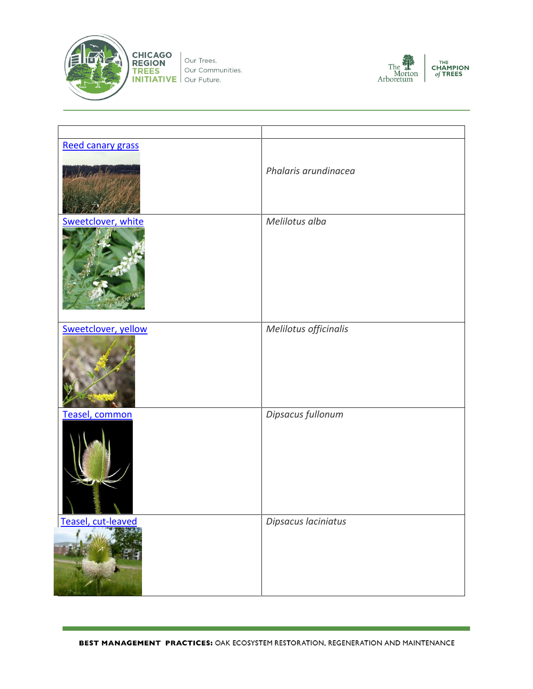



| Reed canary grass   |                       |
|---------------------|-----------------------|
|                     | Phalaris arundinacea  |
| Sweetclover, white  | Melilotus alba        |
| Sweetclover, yellow | Melilotus officinalis |
| Teasel, common      | Dipsacus fullonum     |
| Teasel, cut-leaved  | Dipsacus laciniatus   |